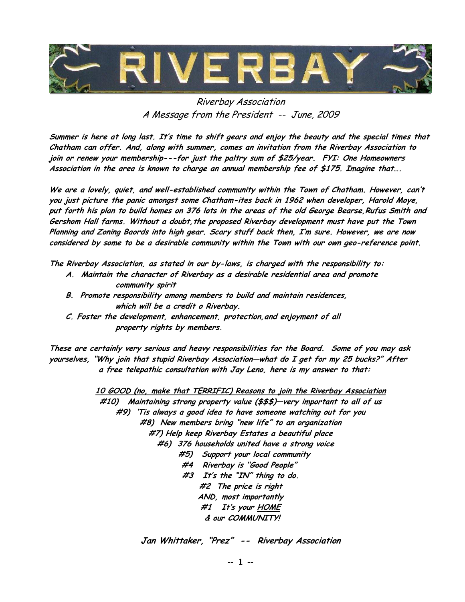

## Riverbay Association A Message from the President -- June, 2009

Summer is here at long last. It's time to shift gears and enjoy the beauty and the special times that Chatham can offer. And, along with summer, comes an invitation from the Riverbay Association to join or renew your membership---for just the paltry sum of \$25/year. FYI: One Homeowners Association in the area is known to charge an annual membership fee of \$175. Imagine that….

We are a lovely, quiet, and well-established community within the Town of Chatham. However, can't you just picture the panic amongst some Chatham-ites back in 1962 when developer, Harold Moye, put forth his plan to build homes on 376 lots in the areas of the old George Bearse, Rufus Smith and Gershom Hall farms. Without a doubt, the proposed Riverbay development must have put the Town Planning and Zoning Baords into high gear. Scary stuff back then, I'm sure. However, we are now considered by some to be a desirable community within the Town with our own geo-reference point.

The Riverbay Association, as stated in our by-laws, is charged with the responsibility to:

- A. Maintain the character of Riverbay as a desirable residential area and promote community spirit
- B. Promote responsibility among members to build and maintain residences, which will be a credit o Riverbay.
- C. Foster the development, enhancement, protection,and enjoyment of all property rights by members.

These are certainly very serious and heavy responsibilities for the Board. Some of you may ask yourselves, "Why join that stupid Riverbay Association—what do I get for my 25 bucks?" After a free telepathic consultation with Jay Leno, here is my answer to that:

> 10 GOOD (no, make that TERRIFIC) Reasons to join the Riverbay Association #10) Maintaining strong property value (\$\$\$)—very important to all of us #9) 'Tis always a good idea to have someone watching out for you #8) New members bring "new life" to an organization #7) Help keep Riverbay Estates a beautiful place #6) 376 households united have a strong voice #5) Support your local community #4 Riverbay is "Good People" #3 It's the "IN" thing to do. #2 The price is right AND, most importantly #1 It's your HOME & our COMMUNITY!

> > Jan Whittaker, "Prez" -- Riverbay Association